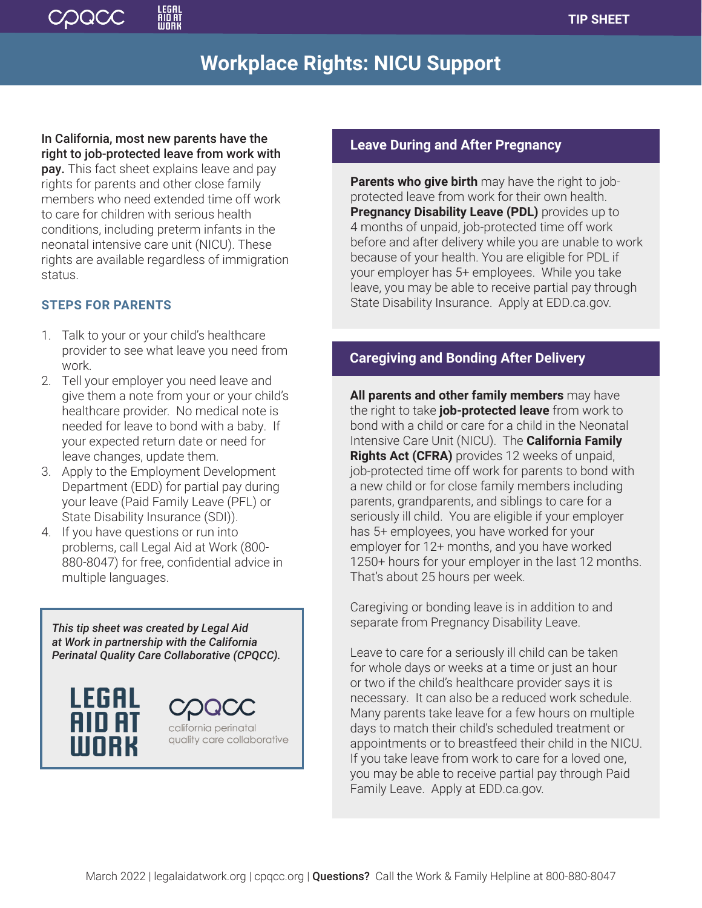

# **Workplace Rights: NICU Support**

In California, most new parents have the right to job-protected leave from work with

pay. This fact sheet explains leave and pay rights for parents and other close family members who need extended time off work to care for children with serious health conditions, including preterm infants in the neonatal intensive care unit (NICU). These rights are available regardless of immigration status.

# **STEPS FOR PARENTS**

- 1. Talk to your or your child's healthcare provider to see what leave you need from work.
- 2. Tell your employer you need leave and give them a note from your or your child's healthcare provider. No medical note is needed for leave to bond with a baby. If your expected return date or need for leave changes, update them.
- 3. Apply to the Employment Development Department (EDD) for partial pay during your leave (Paid Family Leave (PFL) or State Disability Insurance (SDI)).
- 4. If you have questions or run into problems, call Legal Aid at Work (800- 880-8047) for free, confidential advice in multiple languages.

*This tip sheet was created by Legal Aid at Work in partnership with the California Perinatal Quality Care Collaborative (CPQCC).* 



# **Leave During and After Pregnancy**

**Parents who give birth** may have the right to jobprotected leave from work for their own health. **Pregnancy Disability Leave (PDL)** provides up to 4 months of unpaid, job-protected time off work before and after delivery while you are unable to work because of your health. You are eligible for PDL if your employer has 5+ employees. While you take leave, you may be able to receive partial pay through State Disability Insurance. Apply at EDD.ca.gov.

# **Caregiving and Bonding After Delivery**

**All parents and other family members** may have the right to take **job-protected leave** from work to bond with a child or care for a child in the Neonatal Intensive Care Unit (NICU). The **California Family Rights Act (CFRA)** provides 12 weeks of unpaid, job-protected time off work for parents to bond with a new child or for close family members including parents, grandparents, and siblings to care for a seriously ill child. You are eligible if your employer has 5+ employees, you have worked for your employer for 12+ months, and you have worked 1250+ hours for your employer in the last 12 months. That's about 25 hours per week.

Caregiving or bonding leave is in addition to and separate from Pregnancy Disability Leave.

Leave to care for a seriously ill child can be taken for whole days or weeks at a time or just an hour or two if the child's healthcare provider says it is necessary. It can also be a reduced work schedule. Many parents take leave for a few hours on multiple days to match their child's scheduled treatment or appointments or to breastfeed their child in the NICU. If you take leave from work to care for a loved one, you may be able to receive partial pay through Paid Family Leave. Apply at EDD.ca.gov.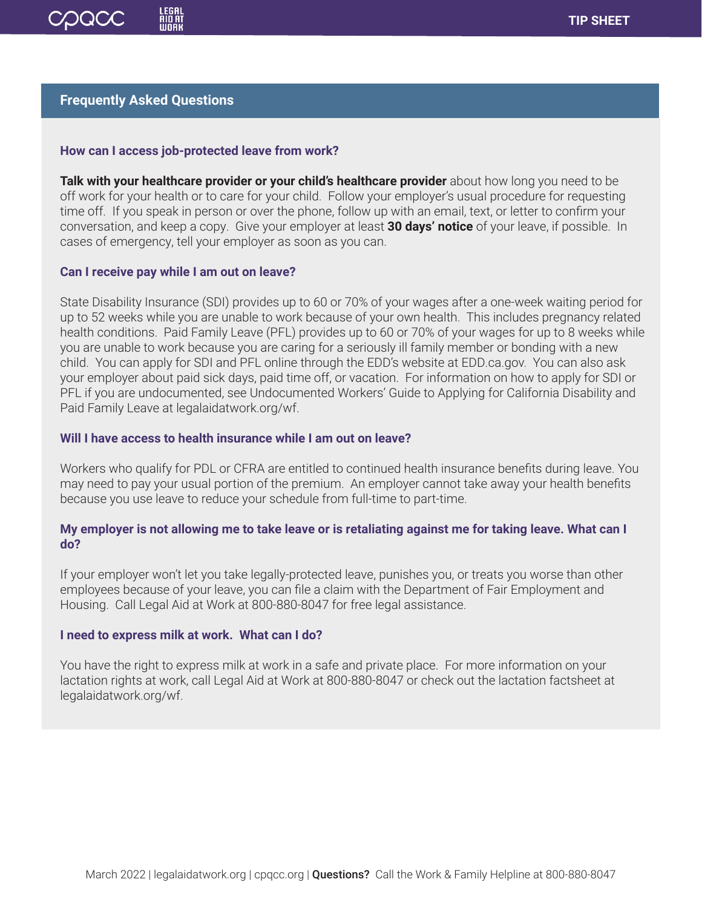

## **Frequently Asked Questions**

#### **How can I access job-protected leave from work?**

**Talk with your healthcare provider or your child's healthcare provider** about how long you need to be off work for your health or to care for your child. Follow your employer's usual procedure for requesting time off. If you speak in person or over the phone, follow up with an email, text, or letter to confirm your conversation, and keep a copy. Give your employer at least **30 days' notice** of your leave, if possible. In cases of emergency, tell your employer as soon as you can.

#### **Can I receive pay while I am out on leave?**

State Disability Insurance (SDI) provides up to 60 or 70% of your wages after a one-week waiting period for up to 52 weeks while you are unable to work because of your own health. This includes pregnancy related health conditions. Paid Family Leave (PFL) provides up to 60 or 70% of your wages for up to 8 weeks while you are unable to work because you are caring for a seriously ill family member or bonding with a new child. You can apply for SDI and PFL online through the EDD's website at EDD.ca.gov. You can also ask your employer about paid sick days, paid time off, or vacation. For information on how to apply for SDI or PFL if you are undocumented, see Undocumented Workers' Guide to Applying for California Disability and Paid Family Leave at legalaidatwork.org/wf.

## **Will I have access to health insurance while I am out on leave?**

Workers who qualify for PDL or CFRA are entitled to continued health insurance benefits during leave. You may need to pay your usual portion of the premium. An employer cannot take away your health benefits because you use leave to reduce your schedule from full-time to part-time.

## **My employer is not allowing me to take leave or is retaliating against me for taking leave. What can I do?**

If your employer won't let you take legally-protected leave, punishes you, or treats you worse than other employees because of your leave, you can file a claim with the Department of Fair Employment and Housing. Call Legal Aid at Work at 800-880-8047 for free legal assistance.

#### **I need to express milk at work. What can I do?**

You have the right to express milk at work in a safe and private place. For more information on your lactation rights at work, call Legal Aid at Work at 800-880-8047 or check out the lactation factsheet at legalaidatwork.org/wf.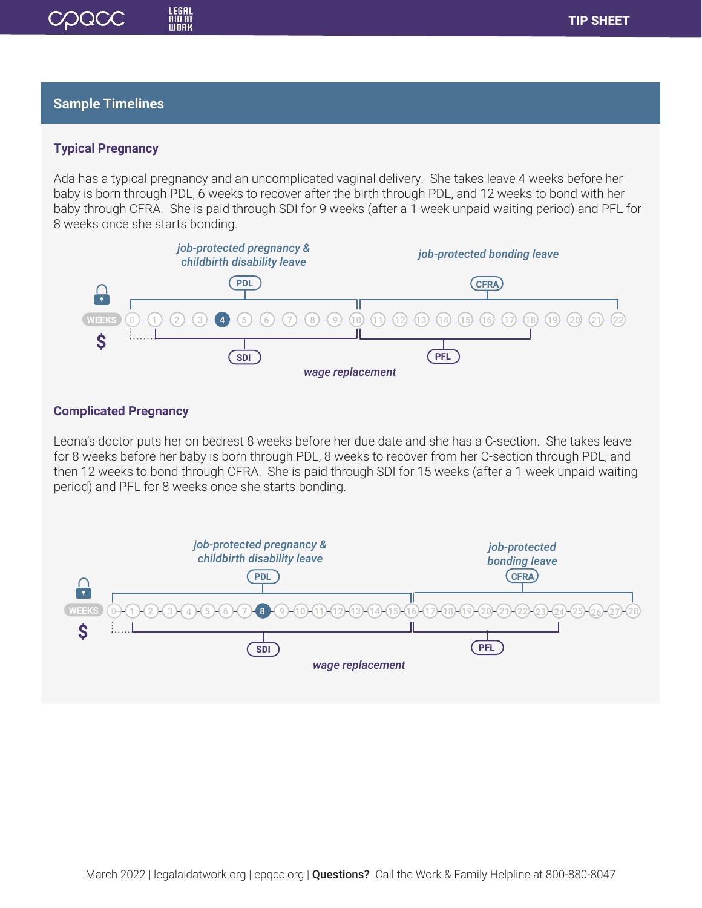# **Sample Timelines**

COQCC

LEGAL<br>AID AI<br>WORK

## **Typical Pregnancy**

Ada has a typical pregnancy and an uncomplicated vaginal delivery. She takes leave 4 weeks before her baby is born through PDL, 6 weeks to recover after the birth through PDL, and 12 weeks to bond with her baby through CFRA. She is paid through SDI for 9 weeks (after a 1-week unpaid waiting period) and PFL for 8 weeks once she starts bonding.



## **Complicated Pregnancy**

Leona's doctor puts her on bedrest 8 weeks before her due date and she has a C-section. She takes leave for 8 weeks before her baby is born through PDL, 8 weeks to recover from her C-section through PDL, and then 12 weeks to bond through CFRA. She is paid through SDI for 15 weeks (after a 1-week unpaid waiting period) and PFL for 8 weeks once she starts bonding.